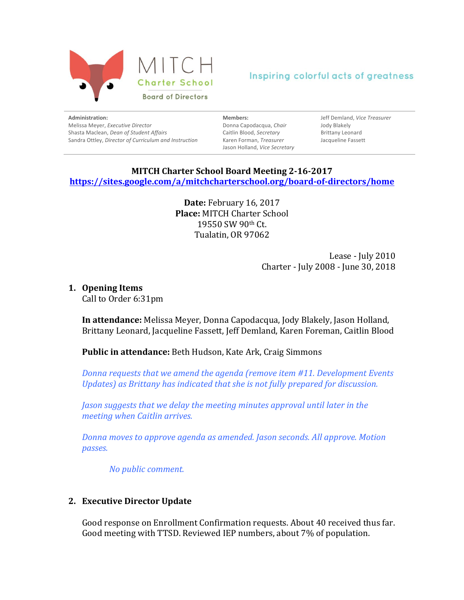

**Administration:** Melissa Meyer, *Executive Director* Shasta Maclean, *Dean of Student Affairs* Sandra Ottley, *Director of Curriculum and Instruction*  **Members:** Donna Capodacqua, *Chair* Caitlin Blood, *Secretary* Karen Forman, *Treasurer* Jason Holland, *Vice Secretary* 

Jeff Demland, *Vice Treasurer* Jody Blakely Brittany Leonard Jacqueline Fassett

### **MITCH Charter School Board Meeting 2-16-2017 https://sites.google.com/a/mitchcharterschool.org/board-of-directors/home**

**Date:** February 16, 2017 **Place: MITCH Charter School** 19550 SW 90th Ct. Tualatin, OR 97062

> Lease - July 2010 Charter - July 2008 - June 30, 2018

#### **1. Opening Items**

Call to Order 6:31pm

**In attendance:** Melissa Meyer, Donna Capodacqua, Jody Blakely, Jason Holland, Brittany Leonard, Jacqueline Fassett, Jeff Demland, Karen Foreman, Caitlin Blood

### **Public in attendance:** Beth Hudson, Kate Ark, Craig Simmons

*Donna requests that we amend the agenda (remove item #11. Development Events Updates)* as *Brittany has indicated that she is not fully prepared for discussion.* 

*Jason suggests that we delay the meeting minutes approval until later in the meeting when Caitlin arrives.*

*Donna moves to approve agenda as amended. Jason seconds. All approve. Motion passes.*

*No public comment.*

#### **2. Executive Director Update**

Good response on Enrollment Confirmation requests. About 40 received thus far. Good meeting with TTSD. Reviewed IEP numbers, about 7% of population.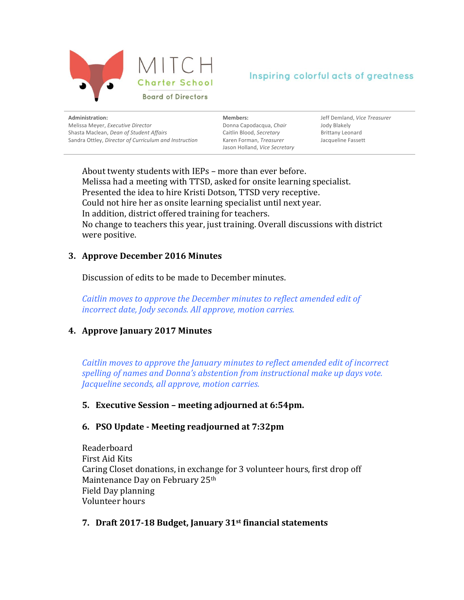

| Administration:                                       | Membe     |
|-------------------------------------------------------|-----------|
| Melissa Meyer, Executive Director                     | Donna (   |
| Shasta Maclean, Dean of Student Affairs               | Caitlin B |
| Sandra Ottley, Director of Curriculum and Instruction | Karen F   |
|                                                       |           |

**Members:** Capodacqua, *Chair* Blood, *Secretary* **Forman, Treasurer** Jason Holland, *Vice Secretary* 

Jeff Demland, *Vice Treasurer* Jody Blakely Brittany Leonard Jacqueline Fassett

About twenty students with IEPs - more than ever before. Melissa had a meeting with TTSD, asked for onsite learning specialist. Presented the idea to hire Kristi Dotson, TTSD very receptive. Could not hire her as onsite learning specialist until next year. In addition, district offered training for teachers. No change to teachers this year, just training. Overall discussions with district were positive.

### **3. Approve December 2016 Minutes**

Discussion of edits to be made to December minutes.

*Caitlin* moves to approve the December minutes to reflect amended edit of *incorrect date, Jody seconds. All approve, motion carries.* 

# **4. Approve January 2017 Minutes**

*Caitlin moves to approve the January minutes to reflect amended edit of incorrect spelling of names and Donna's abstention from instructional make up days vote. Jacqueline seconds, all approve, motion carries.* 

### **5. Executive Session – meeting adjourned at 6:54pm.**

### **6. PSO Update - Meeting readjourned at 7:32pm**

Readerboard First Aid Kits Caring Closet donations, in exchange for 3 volunteer hours, first drop off Maintenance Day on February 25th Field Day planning Volunteer hours

### **7. Draft 2017-18 Budget, January 31st financial statements**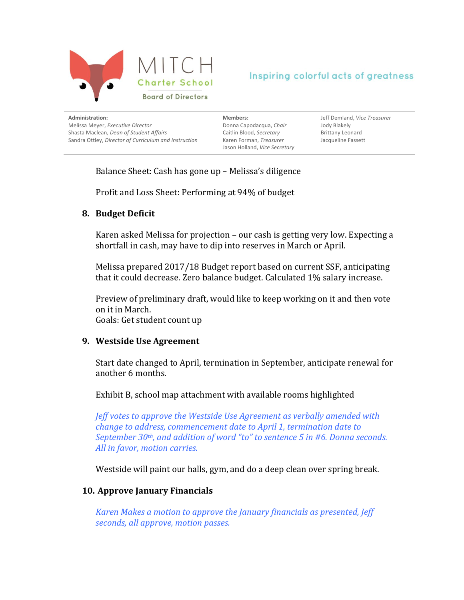

| Administration:                                       |
|-------------------------------------------------------|
| Melissa Meyer, Executive Director                     |
| Shasta Maclean, Dean of Student Affairs               |
| Sandra Ottley, Director of Curriculum and Instruction |
|                                                       |

**Members:** Donna Capodacqua, *Chair* Caitlin Blood, *Secretary* Karen Forman, *Treasurer* Jason Holland, *Vice Secretary*  Jeff Demland, *Vice Treasurer* Jody Blakely Brittany Leonard Jacqueline Fassett

Balance Sheet: Cash has gone up - Melissa's diligence

Profit and Loss Sheet: Performing at 94% of budget

#### **8. Budget Deficit**

Karen asked Melissa for projection – our cash is getting very low. Expecting a shortfall in cash, may have to dip into reserves in March or April.

Melissa prepared 2017/18 Budget report based on current SSF, anticipating that it could decrease. Zero balance budget. Calculated  $1\%$  salary increase.

Preview of preliminary draft, would like to keep working on it and then vote on it in March. Goals: Get student count up

#### **9.** Westside Use Agreement

Start date changed to April, termination in September, anticipate renewal for another 6 months.

Exhibit B, school map attachment with available rooms highlighted

*Jeff* votes to approve the Westside Use Agreement as verbally amended with *change to address, commencement date to April 1, termination date to September* 30<sup>th</sup>, and addition of word "to" to sentence 5 in #6. Donna seconds. All in favor, motion carries.

Westside will paint our halls, gym, and do a deep clean over spring break.

### **10. Approve January Financials**

*Karen Makes a motion to approve the January financials as presented, Jeff* seconds, all approve, motion passes.